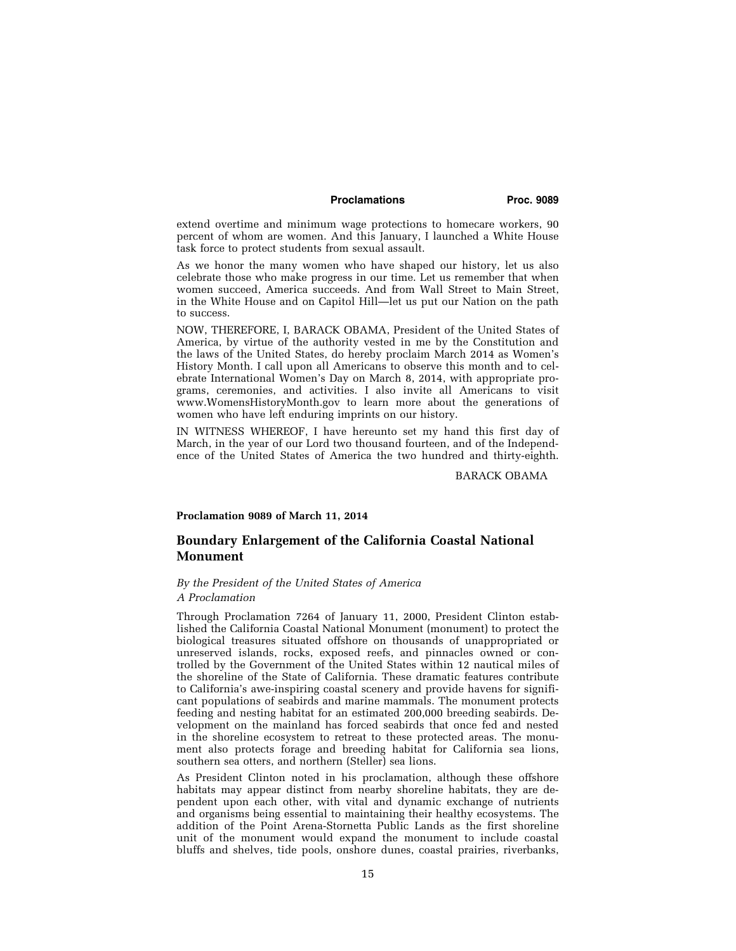### **Proclamations Proc. 9089**

extend overtime and minimum wage protections to homecare workers, 90 percent of whom are women. And this January, I launched a White House task force to protect students from sexual assault.

As we honor the many women who have shaped our history, let us also celebrate those who make progress in our time. Let us remember that when women succeed, America succeeds. And from Wall Street to Main Street, in the White House and on Capitol Hill—let us put our Nation on the path to success.

NOW, THEREFORE, I, BARACK OBAMA, President of the United States of America, by virtue of the authority vested in me by the Constitution and the laws of the United States, do hereby proclaim March 2014 as Women's History Month. I call upon all Americans to observe this month and to celebrate International Women's Day on March 8, 2014, with appropriate programs, ceremonies, and activities. I also invite all Americans to visit www.WomensHistoryMonth.gov to learn more about the generations of women who have left enduring imprints on our history.

IN WITNESS WHEREOF, I have hereunto set my hand this first day of March, in the year of our Lord two thousand fourteen, and of the Independence of the United States of America the two hundred and thirty-eighth.

BARACK OBAMA

#### **Proclamation 9089 of March 11, 2014**

# **Boundary Enlargement of the California Coastal National Monument**

### *By the President of the United States of America A Proclamation*

Through Proclamation 7264 of January 11, 2000, President Clinton established the California Coastal National Monument (monument) to protect the biological treasures situated offshore on thousands of unappropriated or unreserved islands, rocks, exposed reefs, and pinnacles owned or controlled by the Government of the United States within 12 nautical miles of the shoreline of the State of California. These dramatic features contribute to California's awe-inspiring coastal scenery and provide havens for significant populations of seabirds and marine mammals. The monument protects feeding and nesting habitat for an estimated 200,000 breeding seabirds. Development on the mainland has forced seabirds that once fed and nested in the shoreline ecosystem to retreat to these protected areas. The monument also protects forage and breeding habitat for California sea lions, southern sea otters, and northern (Steller) sea lions.

As President Clinton noted in his proclamation, although these offshore habitats may appear distinct from nearby shoreline habitats, they are dependent upon each other, with vital and dynamic exchange of nutrients and organisms being essential to maintaining their healthy ecosystems. The addition of the Point Arena-Stornetta Public Lands as the first shoreline unit of the monument would expand the monument to include coastal bluffs and shelves, tide pools, onshore dunes, coastal prairies, riverbanks,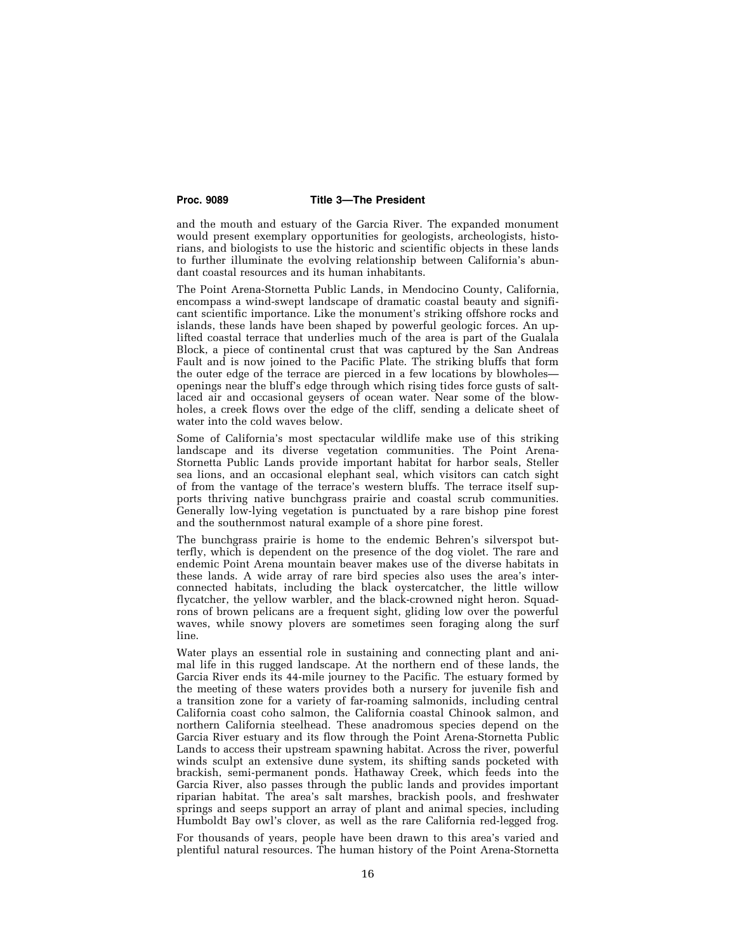#### **Proc. 9089 Title 3—The President**

and the mouth and estuary of the Garcia River. The expanded monument would present exemplary opportunities for geologists, archeologists, historians, and biologists to use the historic and scientific objects in these lands to further illuminate the evolving relationship between California's abundant coastal resources and its human inhabitants.

The Point Arena-Stornetta Public Lands, in Mendocino County, California, encompass a wind-swept landscape of dramatic coastal beauty and significant scientific importance. Like the monument's striking offshore rocks and islands, these lands have been shaped by powerful geologic forces. An uplifted coastal terrace that underlies much of the area is part of the Gualala Block, a piece of continental crust that was captured by the San Andreas Fault and is now joined to the Pacific Plate. The striking bluffs that form the outer edge of the terrace are pierced in a few locations by blowholes openings near the bluff's edge through which rising tides force gusts of saltlaced air and occasional geysers of ocean water. Near some of the blowholes, a creek flows over the edge of the cliff, sending a delicate sheet of water into the cold waves below.

Some of California's most spectacular wildlife make use of this striking landscape and its diverse vegetation communities. The Point Arena-Stornetta Public Lands provide important habitat for harbor seals, Steller sea lions, and an occasional elephant seal, which visitors can catch sight of from the vantage of the terrace's western bluffs. The terrace itself supports thriving native bunchgrass prairie and coastal scrub communities. Generally low-lying vegetation is punctuated by a rare bishop pine forest and the southernmost natural example of a shore pine forest.

The bunchgrass prairie is home to the endemic Behren's silverspot butterfly, which is dependent on the presence of the dog violet. The rare and endemic Point Arena mountain beaver makes use of the diverse habitats in these lands. A wide array of rare bird species also uses the area's interconnected habitats, including the black oystercatcher, the little willow flycatcher, the yellow warbler, and the black-crowned night heron. Squadrons of brown pelicans are a frequent sight, gliding low over the powerful waves, while snowy plovers are sometimes seen foraging along the surf line.

Water plays an essential role in sustaining and connecting plant and animal life in this rugged landscape. At the northern end of these lands, the Garcia River ends its 44-mile journey to the Pacific. The estuary formed by the meeting of these waters provides both a nursery for juvenile fish and a transition zone for a variety of far-roaming salmonids, including central California coast coho salmon, the California coastal Chinook salmon, and northern California steelhead. These anadromous species depend on the Garcia River estuary and its flow through the Point Arena-Stornetta Public Lands to access their upstream spawning habitat. Across the river, powerful winds sculpt an extensive dune system, its shifting sands pocketed with brackish, semi-permanent ponds. Hathaway Creek, which feeds into the Garcia River, also passes through the public lands and provides important riparian habitat. The area's salt marshes, brackish pools, and freshwater springs and seeps support an array of plant and animal species, including Humboldt Bay owl's clover, as well as the rare California red-legged frog.

For thousands of years, people have been drawn to this area's varied and plentiful natural resources. The human history of the Point Arena-Stornetta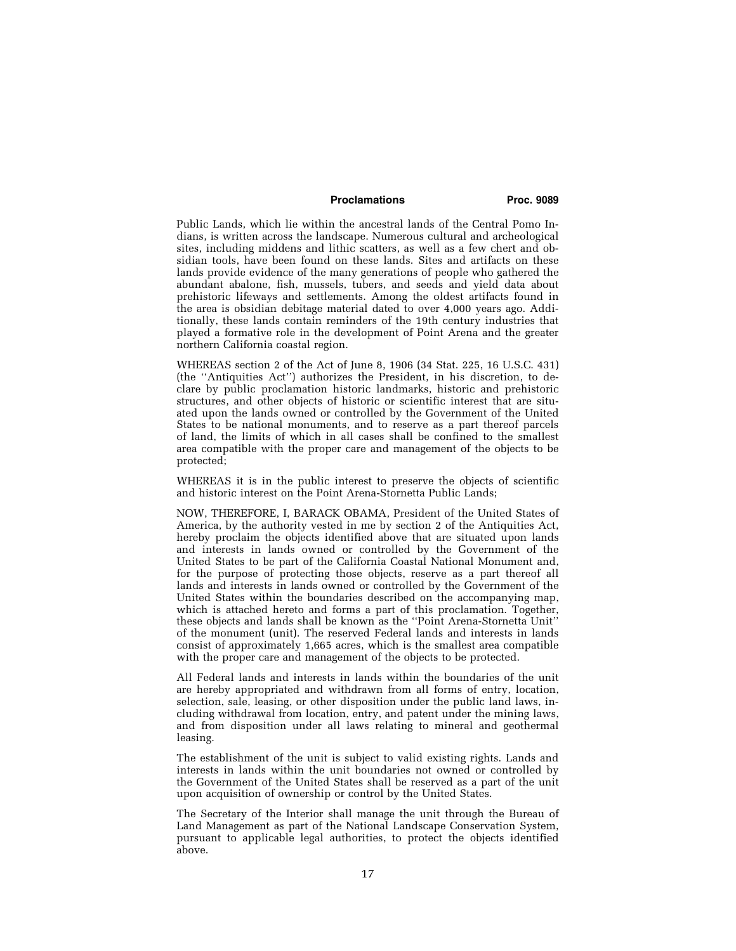### **Proclamations Proc. 9089**

Public Lands, which lie within the ancestral lands of the Central Pomo Indians, is written across the landscape. Numerous cultural and archeological sites, including middens and lithic scatters, as well as a few chert and obsidian tools, have been found on these lands. Sites and artifacts on these lands provide evidence of the many generations of people who gathered the abundant abalone, fish, mussels, tubers, and seeds and yield data about prehistoric lifeways and settlements. Among the oldest artifacts found in the area is obsidian debitage material dated to over 4,000 years ago. Additionally, these lands contain reminders of the 19th century industries that played a formative role in the development of Point Arena and the greater northern California coastal region.

WHEREAS section 2 of the Act of June 8, 1906 (34 Stat. 225, 16 U.S.C. 431) (the ''Antiquities Act'') authorizes the President, in his discretion, to declare by public proclamation historic landmarks, historic and prehistoric structures, and other objects of historic or scientific interest that are situated upon the lands owned or controlled by the Government of the United States to be national monuments, and to reserve as a part thereof parcels of land, the limits of which in all cases shall be confined to the smallest area compatible with the proper care and management of the objects to be protected;

WHEREAS it is in the public interest to preserve the objects of scientific and historic interest on the Point Arena-Stornetta Public Lands;

NOW, THEREFORE, I, BARACK OBAMA, President of the United States of America, by the authority vested in me by section 2 of the Antiquities Act, hereby proclaim the objects identified above that are situated upon lands and interests in lands owned or controlled by the Government of the United States to be part of the California Coastal National Monument and, for the purpose of protecting those objects, reserve as a part thereof all lands and interests in lands owned or controlled by the Government of the United States within the boundaries described on the accompanying map, which is attached hereto and forms a part of this proclamation. Together, these objects and lands shall be known as the ''Point Arena-Stornetta Unit'' of the monument (unit). The reserved Federal lands and interests in lands consist of approximately 1,665 acres, which is the smallest area compatible with the proper care and management of the objects to be protected.

All Federal lands and interests in lands within the boundaries of the unit are hereby appropriated and withdrawn from all forms of entry, location, selection, sale, leasing, or other disposition under the public land laws, including withdrawal from location, entry, and patent under the mining laws, and from disposition under all laws relating to mineral and geothermal leasing.

The establishment of the unit is subject to valid existing rights. Lands and interests in lands within the unit boundaries not owned or controlled by the Government of the United States shall be reserved as a part of the unit upon acquisition of ownership or control by the United States.

The Secretary of the Interior shall manage the unit through the Bureau of Land Management as part of the National Landscape Conservation System, pursuant to applicable legal authorities, to protect the objects identified above.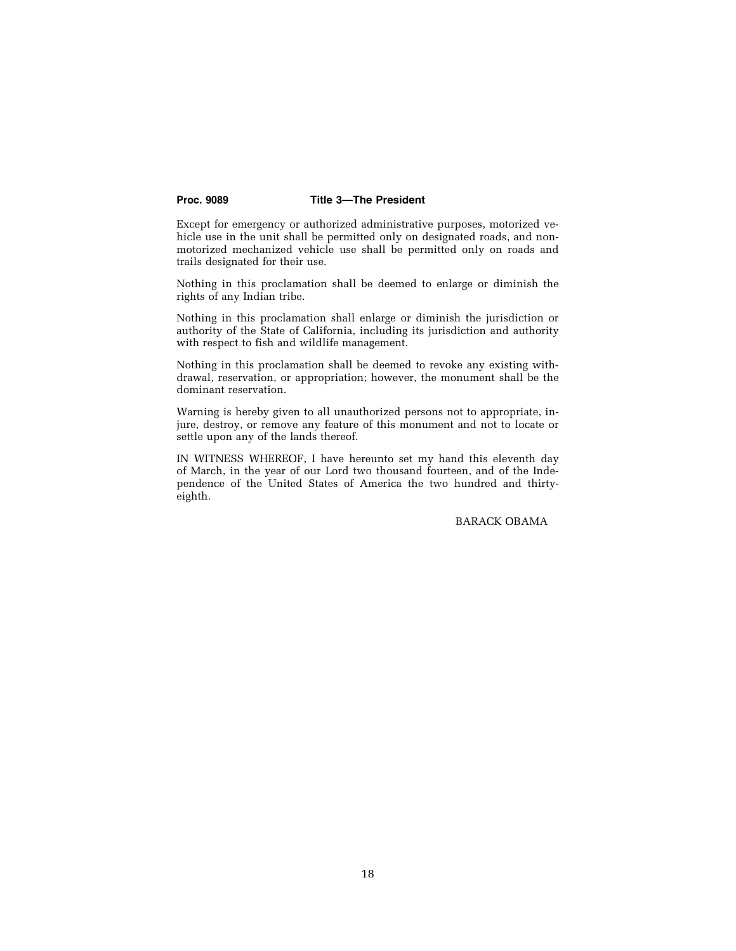## **Proc. 9089 Title 3—The President**

Except for emergency or authorized administrative purposes, motorized vehicle use in the unit shall be permitted only on designated roads, and nonmotorized mechanized vehicle use shall be permitted only on roads and trails designated for their use.

Nothing in this proclamation shall be deemed to enlarge or diminish the rights of any Indian tribe.

Nothing in this proclamation shall enlarge or diminish the jurisdiction or authority of the State of California, including its jurisdiction and authority with respect to fish and wildlife management.

Nothing in this proclamation shall be deemed to revoke any existing withdrawal, reservation, or appropriation; however, the monument shall be the dominant reservation.

Warning is hereby given to all unauthorized persons not to appropriate, injure, destroy, or remove any feature of this monument and not to locate or settle upon any of the lands thereof.

IN WITNESS WHEREOF, I have hereunto set my hand this eleventh day of March, in the year of our Lord two thousand fourteen, and of the Independence of the United States of America the two hundred and thirtyeighth.

BARACK OBAMA